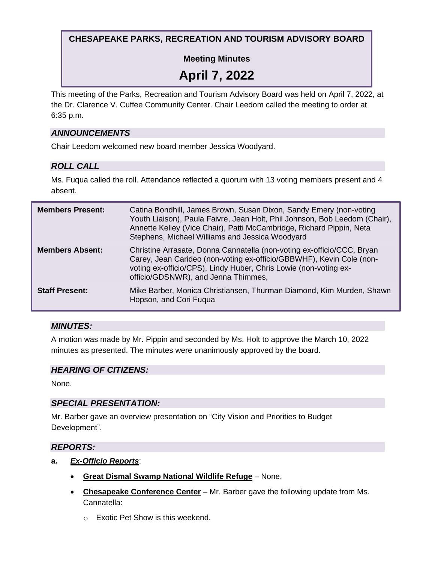## **CHESAPEAKE PARKS, RECREATION AND TOURISM ADVISORY BOARD**

## **Meeting Minutes**

# **April 7, 2022**

This meeting of the Parks, Recreation and Tourism Advisory Board was held on April 7, 2022, at the Dr. Clarence V. Cuffee Community Center. Chair Leedom called the meeting to order at 6:35 p.m.

#### *ANNOUNCEMENTS*

Chair Leedom welcomed new board member Jessica Woodyard.

## *ROLL CALL*

Ms. Fuqua called the roll. Attendance reflected a quorum with 13 voting members present and 4 absent.

| <b>Members Present:</b> | Catina Bondhill, James Brown, Susan Dixon, Sandy Emery (non-voting<br>Youth Liaison), Paula Faivre, Jean Holt, Phil Johnson, Bob Leedom (Chair),<br>Annette Kelley (Vice Chair), Patti McCambridge, Richard Pippin, Neta<br>Stephens, Michael Williams and Jessica Woodyard |
|-------------------------|-----------------------------------------------------------------------------------------------------------------------------------------------------------------------------------------------------------------------------------------------------------------------------|
| <b>Members Absent:</b>  | Christine Arrasate, Donna Cannatella (non-voting ex-officio/CCC, Bryan<br>Carey, Jean Carideo (non-voting ex-officio/GBBWHF), Kevin Cole (non-<br>voting ex-officio/CPS), Lindy Huber, Chris Lowie (non-voting ex-<br>officio/GDSNWR), and Jenna Thimmes,                   |
| <b>Staff Present:</b>   | Mike Barber, Monica Christiansen, Thurman Diamond, Kim Murden, Shawn<br>Hopson, and Cori Fuqua                                                                                                                                                                              |

## *MINUTES:*

A motion was made by Mr. Pippin and seconded by Ms. Holt to approve the March 10, 2022 minutes as presented. The minutes were unanimously approved by the board.

## *HEARING OF CITIZENS:*

None.

## *SPECIAL PRESENTATION:*

Mr. Barber gave an overview presentation on "City Vision and Priorities to Budget Development".

#### *REPORTS:*

- **a.** *Ex-Officio Reports*:
	- **Great Dismal Swamp National Wildlife Refuge** None.
	- **Chesapeake Conference Center** Mr. Barber gave the following update from Ms. Cannatella:
		- o Exotic Pet Show is this weekend.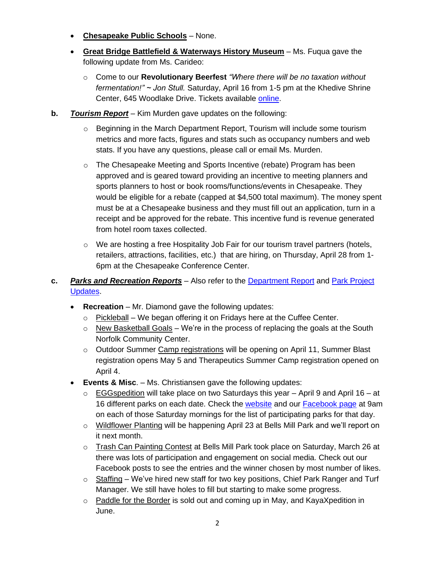- **Chesapeake Public Schools** None.
- **Great Bridge Battlefield & Waterways History Museum** Ms. Fuqua gave the following update from Ms. Carideo:
	- o Come to our **Revolutionary Beerfest** *"Where there will be no taxation without fermentation!" ~ Jon Stull.* Saturday, April 16 from 1-5 pm at the Khedive Shrine Center, 645 Woodlake Drive. Tickets available [online.](https://www.eventbrite.com/e/5th-annual-revolutionary-beer-fest-tickets-267095217987)
- **b.** *Tourism Report* Kim Murden gave updates on the following:
	- $\circ$  Beginning in the March Department Report, Tourism will include some tourism metrics and more facts, figures and stats such as occupancy numbers and web stats. If you have any questions, please call or email Ms. Murden.
	- $\circ$  The Chesapeake Meeting and Sports Incentive (rebate) Program has been approved and is geared toward providing an incentive to meeting planners and sports planners to host or book rooms/functions/events in Chesapeake. They would be eligible for a rebate (capped at \$4,500 total maximum). The money spent must be at a Chesapeake business and they must fill out an application, turn in a receipt and be approved for the rebate. This incentive fund is revenue generated from hotel room taxes collected.
	- $\circ$  We are hosting a free Hospitality Job Fair for our tourism travel partners (hotels, retailers, attractions, facilities, etc.) that are hiring, on Thursday, April 28 from 1- 6pm at the Chesapeake Conference Center.
- **c.** *Parks and Recreation Reports* Also refer to the [Department Report](https://www.cityofchesapeake.net/government/city-departments/departments/parks-recreation-tourism/administration/PRT-Department-Report.htm) and [Park Project](https://www.cityofchesapeake.net/Assets/documents/departments/parks_rec/Project_Updates.pdf) [Updates.](https://www.cityofchesapeake.net/Assets/documents/departments/parks_rec/Project_Updates.pdf)
	- **Recreation** Mr. Diamond gave the following updates:
		- o Pickleball We began offering it on Fridays here at the Cuffee Center.
		- $\circ$  New Basketball Goals We're in the process of replacing the goals at the South Norfolk Community Center.
		- $\circ$  Outdoor Summer Camp registrations will be opening on April 11, Summer Blast registration opens May 5 and Therapeutics Summer Camp registration opened on April 4.
	- **Events & Misc**. Ms. Christiansen gave the following updates:
		- $\circ$  EGGspedition will take place on two Saturdays this year April 9 and April 16 at 16 different parks on each date. Check the [website](https://www.cityofchesapeake.net/government/city-departments/departments/parks-recreation-tourism.htm) and our [Facebook page](https://www.facebook.com/ChesapeakePRT) at 9am on each of those Saturday mornings for the list of participating parks for that day.
		- $\circ$  Wildflower Planting will be happening April 23 at Bells Mill Park and we'll report on it next month.
		- $\circ$  Trash Can Painting Contest at Bells Mill Park took place on Saturday, March 26 at there was lots of participation and engagement on social media. Check out our Facebook posts to see the entries and the winner chosen by most number of likes.
		- $\circ$  Staffing We've hired new staff for two key positions, Chief Park Ranger and Turf Manager. We still have holes to fill but starting to make some progress.
		- o Paddle for the Border is sold out and coming up in May, and KayaXpedition in June.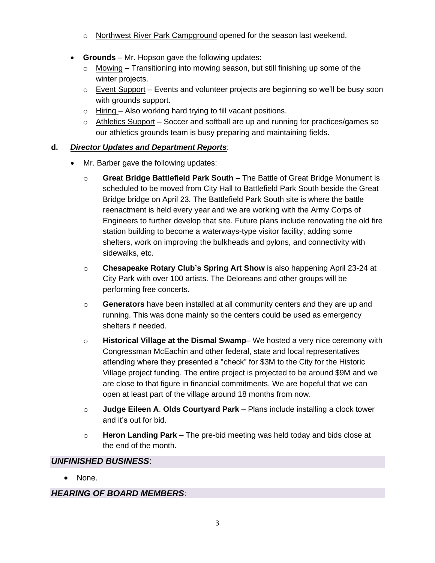- o Northwest River Park Campground opened for the season last weekend.
- **Grounds** Mr. Hopson gave the following updates:
	- $\circ$  Mowing Transitioning into mowing season, but still finishing up some of the winter projects.
	- $\circ$  Event Support Events and volunteer projects are beginning so we'll be busy soon with grounds support.
	- o Hiring Also working hard trying to fill vacant positions.
	- $\circ$  Athletics Support Soccer and softball are up and running for practices/games so our athletics grounds team is busy preparing and maintaining fields.

#### **d.** *Director Updates and Department Reports*:

- Mr. Barber gave the following updates:
	- o **Great Bridge Battlefield Park South –** The Battle of Great Bridge Monument is scheduled to be moved from City Hall to Battlefield Park South beside the Great Bridge bridge on April 23. The Battlefield Park South site is where the battle reenactment is held every year and we are working with the Army Corps of Engineers to further develop that site. Future plans include renovating the old fire station building to become a waterways-type visitor facility, adding some shelters, work on improving the bulkheads and pylons, and connectivity with sidewalks, etc.
	- o **Chesapeake Rotary Club's Spring Art Show** is also happening April 23-24 at City Park with over 100 artists. The Deloreans and other groups will be performing free concerts**.**
	- o **Generators** have been installed at all community centers and they are up and running. This was done mainly so the centers could be used as emergency shelters if needed.
	- o **Historical Village at the Dismal Swamp** We hosted a very nice ceremony with Congressman McEachin and other federal, state and local representatives attending where they presented a "check" for \$3M to the City for the Historic Village project funding. The entire project is projected to be around \$9M and we are close to that figure in financial commitments. We are hopeful that we can open at least part of the village around 18 months from now.
	- o **Judge Eileen A**. **Olds Courtyard Park** Plans include installing a clock tower and it's out for bid.
	- o **Heron Landing Park**  The pre-bid meeting was held today and bids close at the end of the month.

#### *UNFINISHED BUSINESS*:

• None.

#### *HEARING OF BOARD MEMBERS*: